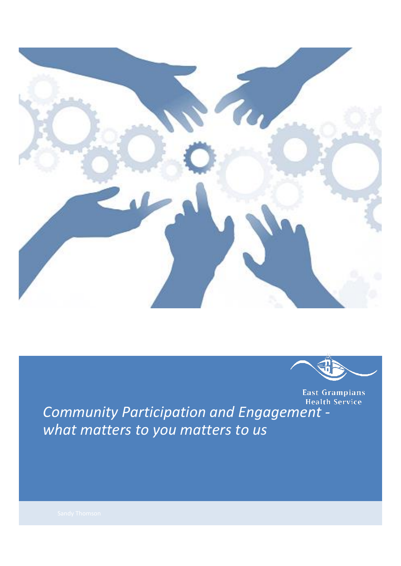



*Community Participation and Engagement what matters to you matters to us*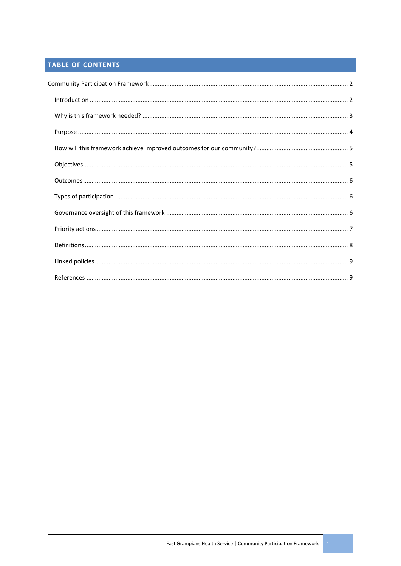# TABLE OF CONTENTS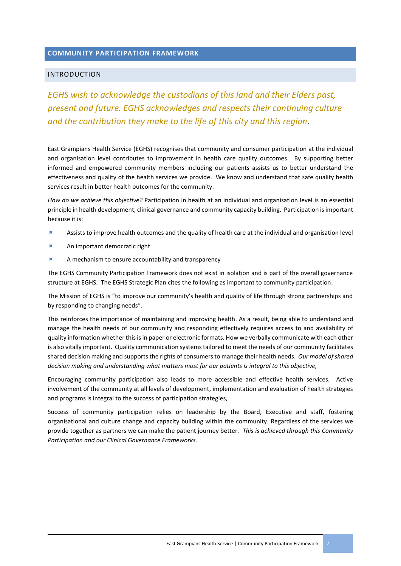### <span id="page-2-0"></span>**COMMUNITY PARTICIPATION FRAMEWORK**

### <span id="page-2-1"></span>INTRODUCTION

*EGHS wish to acknowledge the custodians of this land and their Elders past, present and future. EGHS acknowledges and respects their continuing culture and the contribution they make to the life of this city and this region*.

East Grampians Health Service (EGHS) recognises that community and consumer participation at the individual and organisation level contributes to improvement in health care quality outcomes. By supporting better informed and empowered community members including our patients assists us to better understand the effectiveness and quality of the health services we provide. We know and understand that safe quality health services result in better health outcomes for the community.

*How do we achieve this objective?* Participation in health at an individual and organisation level is an essential principle in health development, clinical governance and community capacity building. Participation isimportant because it is:

- Assists to improve health outcomes and the quality of health care at the individual and organisation level
- An important democratic right
- $\blacktriangleright$  A mechanism to ensure accountability and transparency

The EGHS Community Participation Framework does not exist in isolation and is part of the overall governance structure at EGHS. The EGHS Strategic Plan cites the following as important to community participation.

The Mission of EGHS is "to improve our community's health and quality of life through strong partnerships and by responding to changing needs".

This reinforces the importance of maintaining and improving health. As a result, being able to understand and manage the health needs of our community and responding effectively requires access to and availability of quality information whether this is in paper or electronic formats. How we verbally communicate with each other is also vitally important. Quality communication systems tailored to meet the needs of our community facilitates shared decision making and supports the rights of consumers to manage their health needs. *Our model of shared decision making and understanding what matters most for our patients is integral to this objective,*

Encouraging community participation also leads to more accessible and effective health services. Active involvement of the community at all levels of development, implementation and evaluation of health strategies and programs is integral to the success of participation strategies,

Success of community participation relies on leadership by the Board, Executive and staff, fostering organisational and culture change and capacity building within the community. Regardless of the services we provide together as partners we can make the patient journey better. *This is achieved through this Community Participation and our Clinical Governance Frameworks.*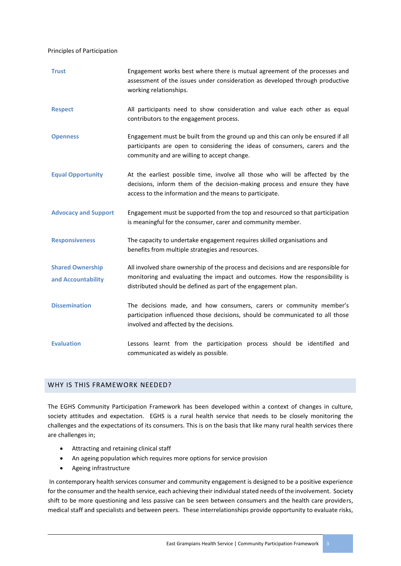#### Principles of Participation

| <b>Trust</b>                | Engagement works best where there is mutual agreement of the processes and<br>assessment of the issues under consideration as developed through productive<br>working relationships.                                  |
|-----------------------------|-----------------------------------------------------------------------------------------------------------------------------------------------------------------------------------------------------------------------|
| <b>Respect</b>              | All participants need to show consideration and value each other as equal<br>contributors to the engagement process.                                                                                                  |
| <b>Openness</b>             | Engagement must be built from the ground up and this can only be ensured if all<br>participants are open to considering the ideas of consumers, carers and the<br>community and are willing to accept change.         |
| <b>Equal Opportunity</b>    | At the earliest possible time, involve all those who will be affected by the<br>decisions, inform them of the decision-making process and ensure they have<br>access to the information and the means to participate. |
| <b>Advocacy and Support</b> | Engagement must be supported from the top and resourced so that participation<br>is meaningful for the consumer, carer and community member.                                                                          |
| <b>Responsiveness</b>       | The capacity to undertake engagement requires skilled organisations and<br>benefits from multiple strategies and resources.                                                                                           |
| <b>Shared Ownership</b>     | All involved share ownership of the process and decisions and are responsible for                                                                                                                                     |
| and Accountability          | monitoring and evaluating the impact and outcomes. How the responsibility is<br>distributed should be defined as part of the engagement plan.                                                                         |
| <b>Dissemination</b>        | The decisions made, and how consumers, carers or community member's<br>participation influenced those decisions, should be communicated to all those<br>involved and affected by the decisions.                       |
| <b>Evaluation</b>           | Lessons learnt from the participation process should be identified and<br>communicated as widely as possible.                                                                                                         |

### <span id="page-3-0"></span>WHY IS THIS FRAMEWORK NEEDED?

The EGHS Community Participation Framework has been developed within a context of changes in culture, society attitudes and expectation. EGHS is a rural health service that needs to be closely monitoring the challenges and the expectations of its consumers. This is on the basis that like many rural health services there are challenges in;

- Attracting and retaining clinical staff
- An ageing population which requires more options for service provision
- Ageing infrastructure

In contemporary health services consumer and community engagement is designed to be a positive experience for the consumer and the health service, each achieving their individual stated needs of the involvement. Society shift to be more questioning and less passive can be seen between consumers and the health care providers, medical staff and specialists and between peers. These interrelationships provide opportunity to evaluate risks,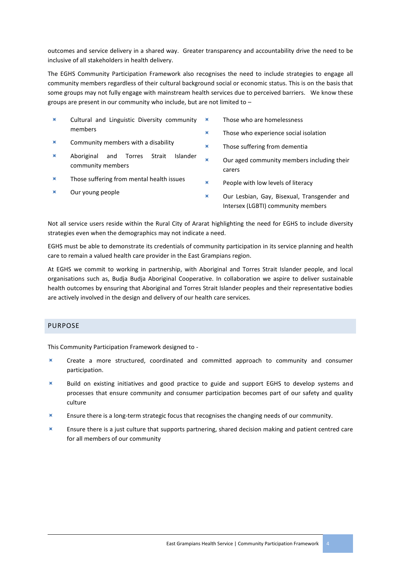outcomes and service delivery in a shared way. Greater transparency and accountability drive the need to be inclusive of all stakeholders in health delivery.

The EGHS Community Participation Framework also recognises the need to include strategies to engage all community members regardless of their cultural background social or economic status. This is on the basis that some groups may not fully engage with mainstream health services due to perceived barriers. We know these groups are present in our community who include, but are not limited to –

- Cultural and Linguistic Diversity community members
- Community members with a disability
- Aboriginal and Torres Strait Islander community members
- $\times$  Those suffering from mental health issues
- $\blacksquare$  Our young people
- **Those who are homelessness** 
	- $\times$  Those who experience social isolation
	- $\times$  Those suffering from dementia
	- $\mathbf x$  Our aged community members including their carers
	- $\blacksquare$  People with low levels of literacy
	- $\blacksquare$  Our Lesbian, Gav, Bisexual, Transgender and Intersex (LGBTI) community members

Not all service users reside within the Rural City of Ararat highlighting the need for EGHS to include diversity strategies even when the demographics may not indicate a need.

EGHS must be able to demonstrate its credentials of community participation in its service planning and health care to remain a valued health care provider in the East Grampians region.

At EGHS we commit to working in partnership, with Aboriginal and Torres Strait Islander people, and local organisations such as, Budja Budja Aboriginal Cooperative. In collaboration we aspire to deliver sustainable health outcomes by ensuring that Aboriginal and Torres Strait Islander peoples and their representative bodies are actively involved in the design and delivery of our health care services.

### <span id="page-4-0"></span>PURPOSE

This Community Participation Framework designed to -

- Create a more structured, coordinated and committed approach to community and consumer participation.
- **K** Build on existing initiatives and good practice to guide and support EGHS to develop systems and processes that ensure community and consumer participation becomes part of our safety and quality culture
- Ensure there is a long-term strategic focus that recognises the changing needs of our community.
- $\blacktriangleright$  Ensure there is a just culture that supports partnering, shared decision making and patient centred care for all members of our community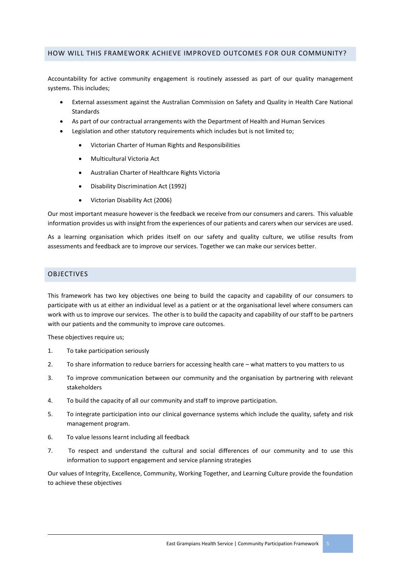### <span id="page-5-0"></span>HOW WILL THIS FRAMEWORK ACHIEVE IMPROVED OUTCOMES FOR OUR COMMUNITY?

Accountability for active community engagement is routinely assessed as part of our quality management systems. This includes;

- External assessment against the Australian Commission on Safety and Quality in Health Care National Standards
- As part of our contractual arrangements with the Department of Health and Human Services
- Legislation and other statutory requirements which includes but is not limited to;
	- Victorian Charter of Human Rights and Responsibilities
	- Multicultural Victoria Act
	- Australian Charter of Healthcare Rights Victoria
	- Disability Discrimination Act (1992)
	- Victorian Disability Act (2006)

Our most important measure however is the feedback we receive from our consumers and carers. This valuable information provides us with insight from the experiences of our patients and carers when our services are used.

As a learning organisation which prides itself on our safety and quality culture, we utilise results from assessments and feedback are to improve our services. Together we can make our services better.

### <span id="page-5-1"></span>OBJECTIVES

This framework has two key objectives one being to build the capacity and capability of our consumers to participate with us at either an individual level as a patient or at the organisational level where consumers can work with us to improve our services. The other is to build the capacity and capability of our staff to be partners with our patients and the community to improve care outcomes.

These objectives require us;

- 1. To take participation seriously
- 2. To share information to reduce barriers for accessing health care what matters to you matters to us
- 3. To improve communication between our community and the organisation by partnering with relevant stakeholders
- 4. To build the capacity of all our community and staff to improve participation.
- 5. To integrate participation into our clinical governance systems which include the quality, safety and risk management program.
- 6. To value lessons learnt including all feedback
- 7. To respect and understand the cultural and social differences of our community and to use this information to support engagement and service planning strategies

Our values of Integrity, Excellence, Community, Working Together, and Learning Culture provide the foundation to achieve these objectives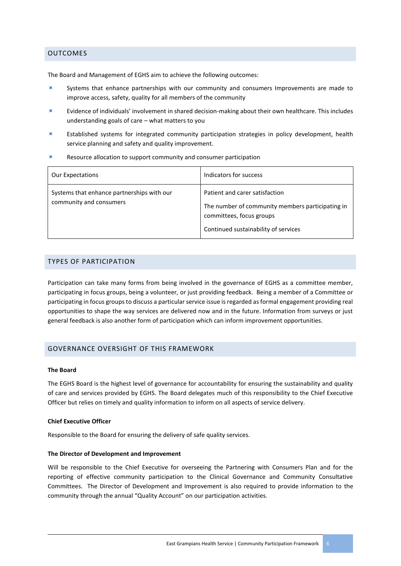### <span id="page-6-0"></span>OUTCOMES

The Board and Management of EGHS aim to achieve the following outcomes:

- Systems that enhance partnerships with our community and consumers Improvements are made to improve access, safety, quality for all members of the community
- Evidence of individuals' involvement in shared decision-making about their own healthcare. This includes understanding goals of care – what matters to you
- Established systems for integrated community participation strategies in policy development, health service planning and safety and quality improvement.
- $X$  Resource allocation to support community and consumer participation

| <b>Our Expectations</b>                                               | Indicators for success                                                                                                                                 |
|-----------------------------------------------------------------------|--------------------------------------------------------------------------------------------------------------------------------------------------------|
| Systems that enhance partnerships with our<br>community and consumers | Patient and carer satisfaction<br>The number of community members participating in<br>committees, focus groups<br>Continued sustainability of services |

### <span id="page-6-1"></span>TYPES OF PARTICIPATION

Participation can take many forms from being involved in the governance of EGHS as a committee member, participating in focus groups, being a volunteer, or just providing feedback. Being a member of a Committee or participating in focus groups to discuss a particular service issue is regarded as formal engagement providing real opportunities to shape the way services are delivered now and in the future. Information from surveys or just general feedback is also another form of participation which can inform improvement opportunities.

### <span id="page-6-2"></span>GOVERNANCE OVERSIGHT OF THIS FRAMEWORK

#### **The Board**

The EGHS Board is the highest level of governance for accountability for ensuring the sustainability and quality of care and services provided by EGHS. The Board delegates much of this responsibility to the Chief Executive Officer but relies on timely and quality information to inform on all aspects of service delivery.

#### **Chief Executive Officer**

Responsible to the Board for ensuring the delivery of safe quality services.

#### **The Director of Development and Improvement**

Will be responsible to the Chief Executive for overseeing the Partnering with Consumers Plan and for the reporting of effective community participation to the Clinical Governance and Community Consultative Committees. The Director of Development and Improvement is also required to provide information to the community through the annual "Quality Account" on our participation activities.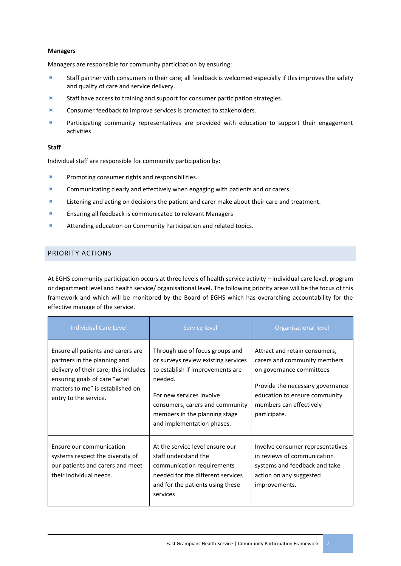#### **Managers**

Managers are responsible for community participation by ensuring:

- Staff partner with consumers in their care; all feedback is welcomed especially if this improves the safety and quality of care and service delivery.
- $\blacksquare$  Staff have access to training and support for consumer participation strategies.
- **K** Consumer feedback to improve services is promoted to stakeholders.
- $\times$  Participating community representatives are provided with education to support their engagement activities

#### **Staff**

Individual staff are responsible for community participation by:

- $\blacksquare$  Promoting consumer rights and responsibilities.
- **Communicating clearly and effectively when engaging with patients and or carers**
- $\blacktriangleright$  Listening and acting on decisions the patient and carer make about their care and treatment.
- **K** Ensuring all feedback is communicated to relevant Managers
- Attending education on Community Participation and related topics.

### <span id="page-7-0"></span>PRIORITY ACTIONS

At EGHS community participation occurs at three levels of health service activity – individual care level, program or department level and health service/ organisational level. The following priority areas will be the focus of this framework and which will be monitored by the Board of EGHS which has overarching accountability for the effective manage of the service.

| <b>Individual Care Level</b>                                                                                                                                                                             | Service level                                                                                                                                                                                                                                       | <b>Organisational level</b>                                                                                                                                                                               |
|----------------------------------------------------------------------------------------------------------------------------------------------------------------------------------------------------------|-----------------------------------------------------------------------------------------------------------------------------------------------------------------------------------------------------------------------------------------------------|-----------------------------------------------------------------------------------------------------------------------------------------------------------------------------------------------------------|
| Ensure all patients and carers are<br>partners in the planning and<br>delivery of their care; this includes<br>ensuring goals of care "what<br>matters to me" is established on<br>entry to the service. | Through use of focus groups and<br>or surveys review existing services<br>to establish if improvements are<br>needed.<br>For new services Involve<br>consumers, carers and community<br>members in the planning stage<br>and implementation phases. | Attract and retain consumers,<br>carers and community members<br>on governance committees<br>Provide the necessary governance<br>education to ensure community<br>members can effectively<br>participate. |
| Ensure our communication<br>systems respect the diversity of<br>our patients and carers and meet<br>their individual needs.                                                                              | At the service level ensure our<br>staff understand the<br>communication requirements<br>needed for the different services<br>and for the patients using these<br>services                                                                          | Involve consumer representatives<br>in reviews of communication<br>systems and feedback and take<br>action on any suggested<br>improvements.                                                              |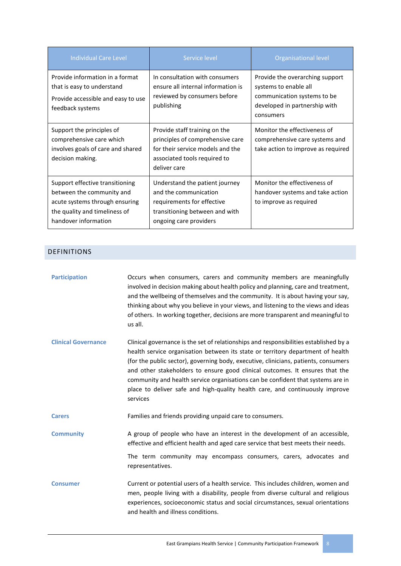| <b>Individual Care Level</b>                                                                                                                            | Service level                                                                                                                                         | Organisational level                                                                                                                  |
|---------------------------------------------------------------------------------------------------------------------------------------------------------|-------------------------------------------------------------------------------------------------------------------------------------------------------|---------------------------------------------------------------------------------------------------------------------------------------|
| Provide information in a format<br>that is easy to understand<br>Provide accessible and easy to use<br>feedback systems                                 | In consultation with consumers<br>ensure all internal information is<br>reviewed by consumers before<br>publishing                                    | Provide the overarching support<br>systems to enable all<br>communication systems to be<br>developed in partnership with<br>consumers |
| Support the principles of<br>comprehensive care which<br>involves goals of care and shared<br>decision making.                                          | Provide staff training on the<br>principles of comprehensive care<br>for their service models and the<br>associated tools required to<br>deliver care | Monitor the effectiveness of<br>comprehensive care systems and<br>take action to improve as required                                  |
| Support effective transitioning<br>between the community and<br>acute systems through ensuring<br>the quality and timeliness of<br>handover information | Understand the patient journey<br>and the communication<br>requirements for effective<br>transitioning between and with<br>ongoing care providers     | Monitor the effectiveness of<br>handover systems and take action<br>to improve as required                                            |

# <span id="page-8-0"></span>DEFINITIONS

| <b>Participation</b>       | Occurs when consumers, carers and community members are meaningfully<br>involved in decision making about health policy and planning, care and treatment,<br>and the wellbeing of themselves and the community. It is about having your say,<br>thinking about why you believe in your views, and listening to the views and ideas<br>of others. In working together, decisions are more transparent and meaningful to<br>us all.                                                                                              |
|----------------------------|--------------------------------------------------------------------------------------------------------------------------------------------------------------------------------------------------------------------------------------------------------------------------------------------------------------------------------------------------------------------------------------------------------------------------------------------------------------------------------------------------------------------------------|
| <b>Clinical Governance</b> | Clinical governance is the set of relationships and responsibilities established by a<br>health service organisation between its state or territory department of health<br>(for the public sector), governing body, executive, clinicians, patients, consumers<br>and other stakeholders to ensure good clinical outcomes. It ensures that the<br>community and health service organisations can be confident that systems are in<br>place to deliver safe and high-quality health care, and continuously improve<br>services |
| <b>Carers</b>              | Families and friends providing unpaid care to consumers.                                                                                                                                                                                                                                                                                                                                                                                                                                                                       |
| <b>Community</b>           | A group of people who have an interest in the development of an accessible,<br>effective and efficient health and aged care service that best meets their needs.<br>The term community may encompass consumers, carers, advocates and<br>representatives.                                                                                                                                                                                                                                                                      |
|                            |                                                                                                                                                                                                                                                                                                                                                                                                                                                                                                                                |
| <b>Consumer</b>            | Current or potential users of a health service. This includes children, women and<br>men, people living with a disability, people from diverse cultural and religious<br>experiences, socioeconomic status and social circumstances, sexual orientations<br>and health and illness conditions.                                                                                                                                                                                                                                 |